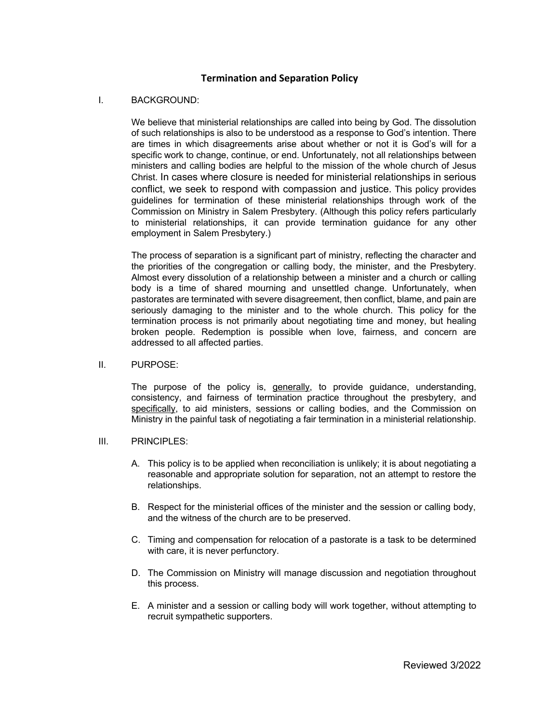## **Termination and Separation Policy**

### I. BACKGROUND:

We believe that ministerial relationships are called into being by God. The dissolution of such relationships is also to be understood as a response to God's intention. There are times in which disagreements arise about whether or not it is God's will for a specific work to change, continue, or end. Unfortunately, not all relationships between ministers and calling bodies are helpful to the mission of the whole church of Jesus Christ. In cases where closure is needed for ministerial relationships in serious conflict, we seek to respond with compassion and justice. This policy provides guidelines for termination of these ministerial relationships through work of the Commission on Ministry in Salem Presbytery. (Although this policy refers particularly to ministerial relationships, it can provide termination guidance for any other employment in Salem Presbytery.)

The process of separation is a significant part of ministry, reflecting the character and the priorities of the congregation or calling body, the minister, and the Presbytery. Almost every dissolution of a relationship between a minister and a church or calling body is a time of shared mourning and unsettled change. Unfortunately, when pastorates are terminated with severe disagreement, then conflict, blame, and pain are seriously damaging to the minister and to the whole church. This policy for the termination process is not primarily about negotiating time and money, but healing broken people. Redemption is possible when love, fairness, and concern are addressed to all affected parties.

#### II. PURPOSE:

The purpose of the policy is, generally, to provide guidance, understanding, consistency, and fairness of termination practice throughout the presbytery, and specifically, to aid ministers, sessions or calling bodies, and the Commission on Ministry in the painful task of negotiating a fair termination in a ministerial relationship.

### III. PRINCIPLES:

- A. This policy is to be applied when reconciliation is unlikely; it is about negotiating a reasonable and appropriate solution for separation, not an attempt to restore the relationships.
- B. Respect for the ministerial offices of the minister and the session or calling body, and the witness of the church are to be preserved.
- C. Timing and compensation for relocation of a pastorate is a task to be determined with care, it is never perfunctory.
- D. The Commission on Ministry will manage discussion and negotiation throughout this process.
- E. A minister and a session or calling body will work together, without attempting to recruit sympathetic supporters.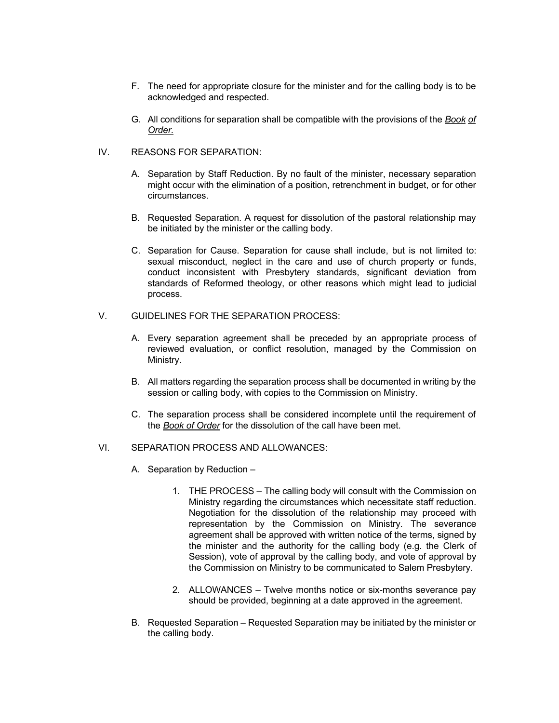- F. The need for appropriate closure for the minister and for the calling body is to be acknowledged and respected.
- G. All conditions for separation shall be compatible with the provisions of the *Book of Order.*
- IV. REASONS FOR SEPARATION:
	- A. Separation by Staff Reduction. By no fault of the minister, necessary separation might occur with the elimination of a position, retrenchment in budget, or for other circumstances.
	- B. Requested Separation. A request for dissolution of the pastoral relationship may be initiated by the minister or the calling body.
	- C. Separation for Cause. Separation for cause shall include, but is not limited to: sexual misconduct, neglect in the care and use of church property or funds, conduct inconsistent with Presbytery standards, significant deviation from standards of Reformed theology, or other reasons which might lead to judicial process.
- V. GUIDELINES FOR THE SEPARATION PROCESS:
	- A. Every separation agreement shall be preceded by an appropriate process of reviewed evaluation, or conflict resolution, managed by the Commission on Ministry.
	- B. All matters regarding the separation process shall be documented in writing by the session or calling body, with copies to the Commission on Ministry.
	- C. The separation process shall be considered incomplete until the requirement of the *Book of Order* for the dissolution of the call have been met.

### VI. SEPARATION PROCESS AND ALLOWANCES:

- A. Separation by Reduction
	- 1. THE PROCESS The calling body will consult with the Commission on Ministry regarding the circumstances which necessitate staff reduction. Negotiation for the dissolution of the relationship may proceed with representation by the Commission on Ministry. The severance agreement shall be approved with written notice of the terms, signed by the minister and the authority for the calling body (e.g. the Clerk of Session), vote of approval by the calling body, and vote of approval by the Commission on Ministry to be communicated to Salem Presbytery.
	- 2. ALLOWANCES Twelve months notice or six-months severance pay should be provided, beginning at a date approved in the agreement.
- B. Requested Separation Requested Separation may be initiated by the minister or the calling body.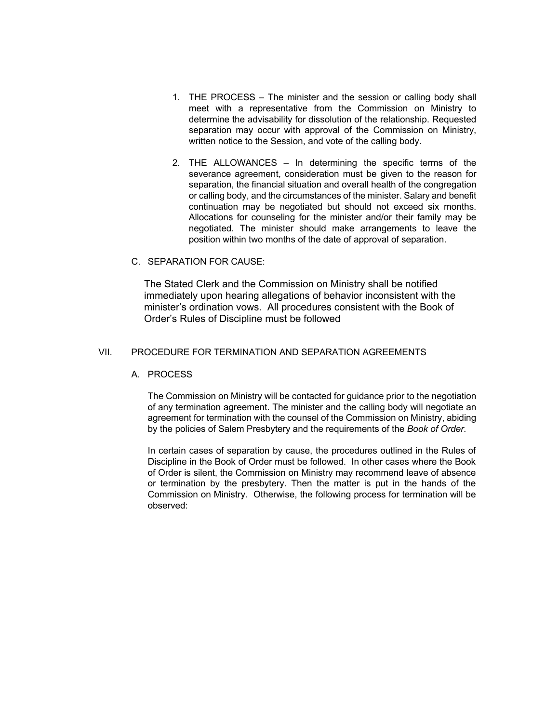- 1. THE PROCESS The minister and the session or calling body shall meet with a representative from the Commission on Ministry to determine the advisability for dissolution of the relationship. Requested separation may occur with approval of the Commission on Ministry, written notice to the Session, and vote of the calling body.
- 2. THE ALLOWANCES In determining the specific terms of the severance agreement, consideration must be given to the reason for separation, the financial situation and overall health of the congregation or calling body, and the circumstances of the minister. Salary and benefit continuation may be negotiated but should not exceed six months. Allocations for counseling for the minister and/or their family may be negotiated. The minister should make arrangements to leave the position within two months of the date of approval of separation.

### C. SEPARATION FOR CAUSE:

The Stated Clerk and the Commission on Ministry shall be notified immediately upon hearing allegations of behavior inconsistent with the minister's ordination vows. All procedures consistent with the Book of Order's Rules of Discipline must be followed

### VII. PROCEDURE FOR TERMINATION AND SEPARATION AGREEMENTS

#### A. PROCESS

The Commission on Ministry will be contacted for guidance prior to the negotiation of any termination agreement. The minister and the calling body will negotiate an agreement for termination with the counsel of the Commission on Ministry, abiding by the policies of Salem Presbytery and the requirements of the *Book of Order.*

In certain cases of separation by cause, the procedures outlined in the Rules of Discipline in the Book of Order must be followed. In other cases where the Book of Order is silent, the Commission on Ministry may recommend leave of absence or termination by the presbytery. Then the matter is put in the hands of the Commission on Ministry. Otherwise, the following process for termination will be observed: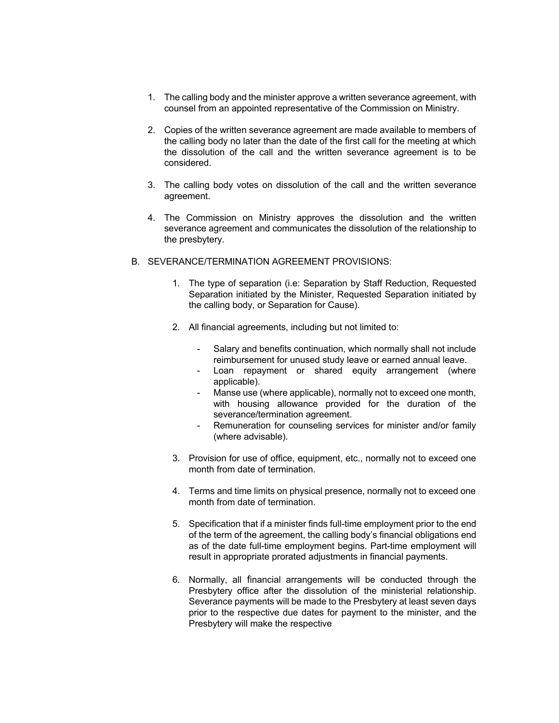- 1. The calling body and the minister approve a written severance agreement, with counsel from an appointed representative of the Commission on Ministry.
- 2. Copies of the written severance agreement are made available to members of the calling body no later than the date of the first call for the meeting at which the dissolution of the call and the written severance agreement is to be considered.
- 3. The calling body votes on dissolution of the call and the written severance agreement.
- 4. The Commission on Ministry approves the dissolution and the written severance agreement and communicates the dissolution of the relationship to the presbytery.
- B. SEVERANCE/TERMINATION AGREEMENT PROVISIONS:
	- 1. The type of separation (i.e: Separation by Staff Reduction, Requested Separation initiated by the Minister, Requested Separation initiated by the calling body, or Separation for Cause).
	- 2. All financial agreements, including but not limited to:
		- Salary and benefits continuation, which normally shall not include reimbursement for unused study leave or earned annual leave.
		- Loan repayment or shared equity arrangement (where applicable).
		- Manse use (where applicable), normally not to exceed one month, with housing allowance provided for the duration of the severance/termination agreement.
		- Remuneration for counseling services for minister and/or family (where advisable).
	- 3. Provision for use of office, equipment, etc., normally not to exceed one month from date of termination.
	- 4. Terms and time limits on physical presence, normally not to exceed one month from date of termination.
	- 5. Specification that if a minister finds full-time employment prior to the end of the term of the agreement, the calling body's financial obligations end as of the date full-time employment begins. Part-time employment will result in appropriate prorated adjustments in financial payments.
	- 6. Normally, all financial arrangements will be conducted through the Presbytery office after the dissolution of the ministerial relationship. Severance payments will be made to the Presbytery at least seven days prior to the respective due dates for payment to the minister, and the Presbytery will make the respective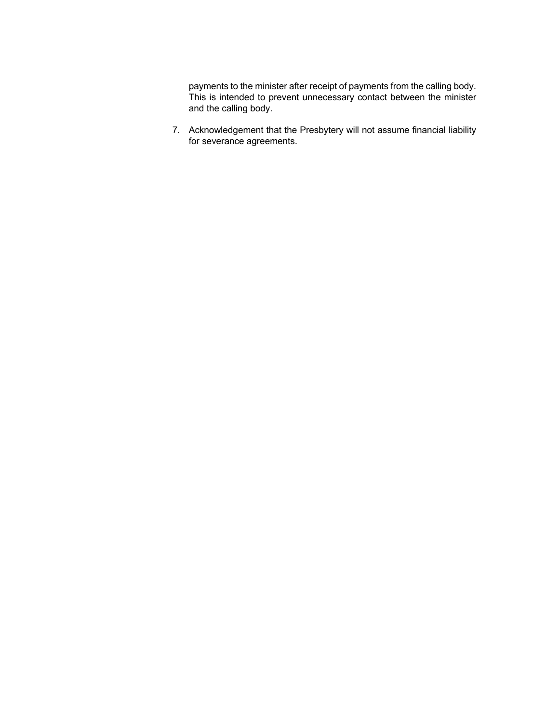payments to the minister after receipt of payments from the calling body. This is intended to prevent unnecessary contact between the minister and the calling body.

7. Acknowledgement that the Presbytery will not assume financial liability for severance agreements.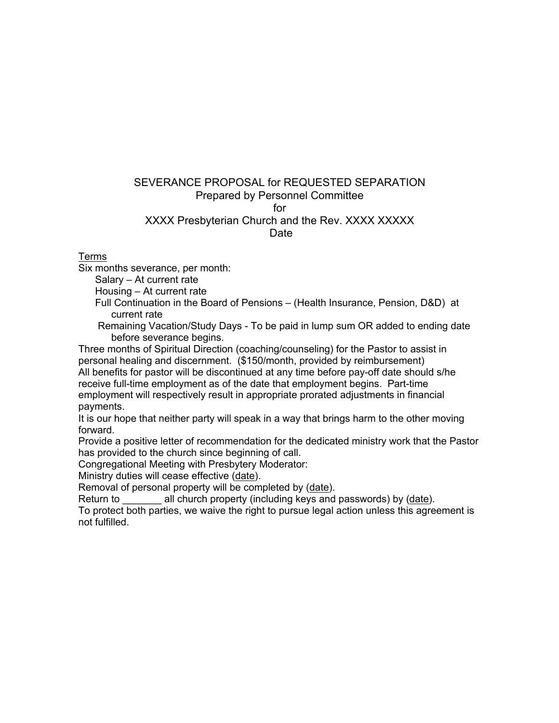# SEVERANCE PROPOSAL for REQUESTED SEPARATION Prepared by Personnel Committee for XXXX Presbyterian Church and the Rev. XXXX XXXXX Date

Terms

Six months severance, per month:

Salary – At current rate

Housing – At current rate

 Full Continuation in the Board of Pensions – (Health Insurance, Pension, D&D) at current rate

 Remaining Vacation/Study Days - To be paid in lump sum OR added to ending date before severance begins.

Three months of Spiritual Direction (coaching/counseling) for the Pastor to assist in personal healing and discernment. (\$150/month, provided by reimbursement) All benefits for pastor will be discontinued at any time before pay-off date should s/he receive full-time employment as of the date that employment begins. Part-time employment will respectively result in appropriate prorated adjustments in financial payments.

It is our hope that neither party will speak in a way that brings harm to the other moving forward.

Provide a positive letter of recommendation for the dedicated ministry work that the Pastor has provided to the church since beginning of call.

Congregational Meeting with Presbytery Moderator:

Ministry duties will cease effective (date).

Removal of personal property will be completed by (date).

Return to **all church property (including keys and passwords) by (date).** 

To protect both parties, we waive the right to pursue legal action unless this agreement is not fulfilled.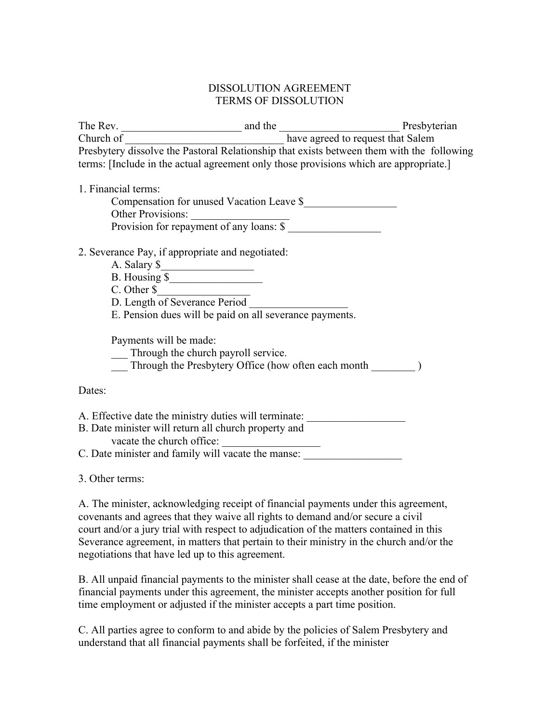## DISSOLUTION AGREEMENT TERMS OF DISSOLUTION

The Rev. The Rev. **The Rev.** and the **Example 2012** Presbyterian Church of \_\_\_\_\_\_\_\_\_\_\_\_\_\_\_\_\_\_\_\_\_\_\_\_\_\_\_\_\_ have agreed to request that Salem Presbytery dissolve the Pastoral Relationship that exists between them with the following terms: [Include in the actual agreement only those provisions which are appropriate.]

## 1. Financial terms:

Compensation for unused Vacation Leave \$\_\_\_\_\_\_\_\_\_\_\_\_\_\_\_\_\_ Other Provisions: Provision for repayment of any loans:  $\frac{1}{\sqrt{2}}$ 

## 2. Severance Pay, if appropriate and negotiated:

- A. Salary \$\_\_\_\_\_\_\_\_\_\_\_\_\_\_\_\_\_
- B. Housing \$\_\_\_\_\_\_\_\_\_\_\_\_\_\_\_\_\_
- C. Other \$
- D. Length of Severance Period
- E. Pension dues will be paid on all severance payments.

Payments will be made:

- \_\_\_ Through the church payroll service.
- Through the Presbytery Office (how often each month  $\qquad \qquad$  )

## Dates:

| A. Effective date the ministry duties will terminate:                                                                                |  |
|--------------------------------------------------------------------------------------------------------------------------------------|--|
| B. Date minister will return all church property and                                                                                 |  |
| vacate the church office:                                                                                                            |  |
| $C \nabla$ , $\mathbf{1} \cdot \mathbf{1}$ $\mathbf{1} \cdot \mathbf{1}$ $\mathbf{1} \cdot \mathbf{1}$ $\mathbf{1} \cdot \mathbf{1}$ |  |

C. Date minister and family will vacate the manse:

3. Other terms:

A. The minister, acknowledging receipt of financial payments under this agreement, covenants and agrees that they waive all rights to demand and/or secure a civil court and/or a jury trial with respect to adjudication of the matters contained in this Severance agreement, in matters that pertain to their ministry in the church and/or the negotiations that have led up to this agreement.

B. All unpaid financial payments to the minister shall cease at the date, before the end of financial payments under this agreement, the minister accepts another position for full time employment or adjusted if the minister accepts a part time position.

C. All parties agree to conform to and abide by the policies of Salem Presbytery and understand that all financial payments shall be forfeited, if the minister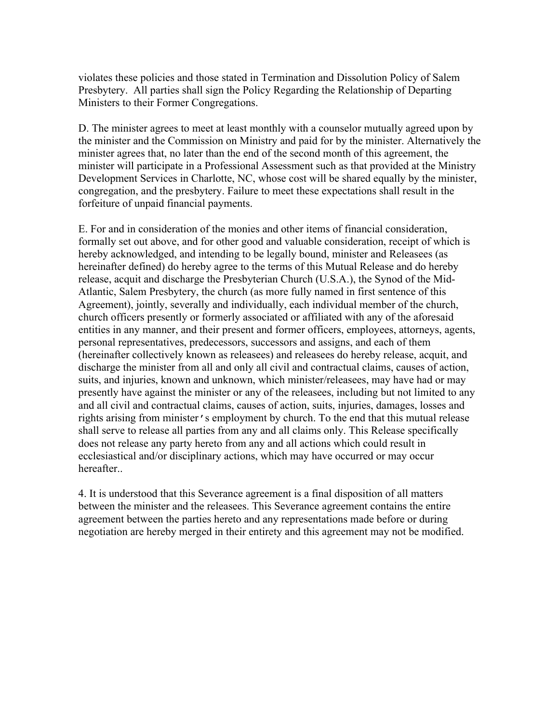violates these policies and those stated in Termination and Dissolution Policy of Salem Presbytery. All parties shall sign the Policy Regarding the Relationship of Departing Ministers to their Former Congregations.

D. The minister agrees to meet at least monthly with a counselor mutually agreed upon by the minister and the Commission on Ministry and paid for by the minister. Alternatively the minister agrees that, no later than the end of the second month of this agreement, the minister will participate in a Professional Assessment such as that provided at the Ministry Development Services in Charlotte, NC, whose cost will be shared equally by the minister, congregation, and the presbytery. Failure to meet these expectations shall result in the forfeiture of unpaid financial payments.

E. For and in consideration of the monies and other items of financial consideration, formally set out above, and for other good and valuable consideration, receipt of which is hereby acknowledged, and intending to be legally bound, minister and Releasees (as hereinafter defined) do hereby agree to the terms of this Mutual Release and do hereby release, acquit and discharge the Presbyterian Church (U.S.A.), the Synod of the Mid-Atlantic, Salem Presbytery, the church (as more fully named in first sentence of this Agreement), jointly, severally and individually, each individual member of the church, church officers presently or formerly associated or affiliated with any of the aforesaid entities in any manner, and their present and former officers, employees, attorneys, agents, personal representatives, predecessors, successors and assigns, and each of them (hereinafter collectively known as releasees) and releasees do hereby release, acquit, and discharge the minister from all and only all civil and contractual claims, causes of action, suits, and injuries, known and unknown, which minister/releasees, may have had or may presently have against the minister or any of the releasees, including but not limited to any and all civil and contractual claims, causes of action, suits, injuries, damages, losses and rights arising from minister's employment by church. To the end that this mutual release shall serve to release all parties from any and all claims only. This Release specifically does not release any party hereto from any and all actions which could result in ecclesiastical and/or disciplinary actions, which may have occurred or may occur hereafter..

4. It is understood that this Severance agreement is a final disposition of all matters between the minister and the releasees. This Severance agreement contains the entire agreement between the parties hereto and any representations made before or during negotiation are hereby merged in their entirety and this agreement may not be modified.